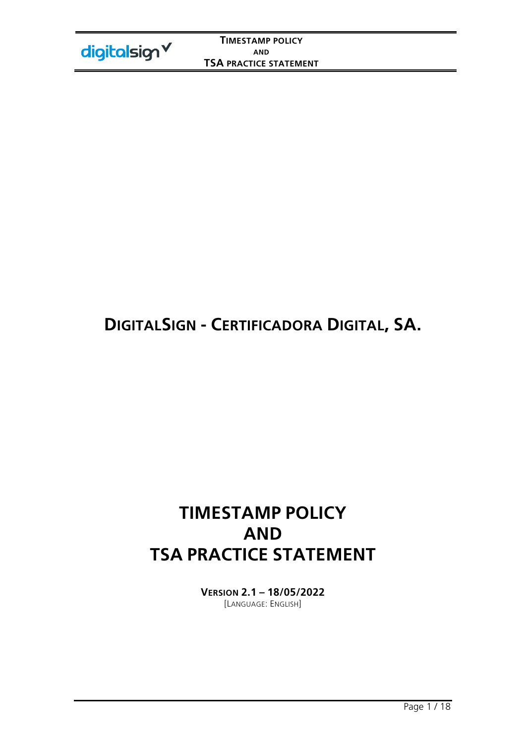# **DIGITALSIGN - CERTIFICADORA DIGITAL, SA.**

# **TIMESTAMP POLICY AND TSA PRACTICE STATEMENT**

**VERSION 2.1 – 18/05/2022**  [LANGUAGE: ENGLISH]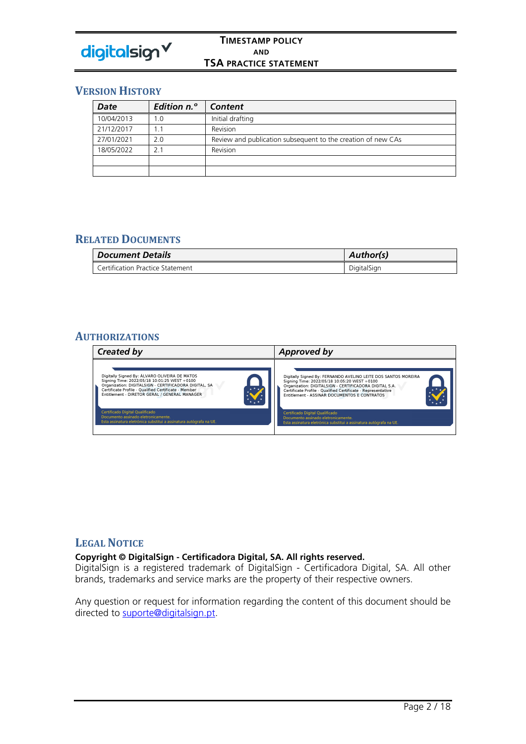

## **VERSION HISTORY**

| Date       | <b>Edition n.º</b> | Content                                                      |
|------------|--------------------|--------------------------------------------------------------|
| 10/04/2013 | 1.0                | Initial drafting                                             |
| 21/12/2017 |                    | Revision                                                     |
| 27/01/2021 | 2.0                | Review and publication subsequent to the creation of new CAs |
| 18/05/2022 | 21                 | Revision                                                     |
|            |                    |                                                              |
|            |                    |                                                              |

## **RELATED DOCUMENTS**

| <b>Document Details</b>          | Author(s)   |
|----------------------------------|-------------|
| Certification Practice Statement | DigitalSign |

## **AUTHORIZATIONS**



## **LEGAL NOTICE**

### **Copyright © DigitalSign - Certificadora Digital, SA. All rights reserved.**

DigitalSign is a registered trademark of DigitalSign - Certificadora Digital, SA. All other brands, trademarks and service marks are the property of their respective owners.

Any question or request for information regarding the content of this document should be directed to suporte@digitalsign.pt.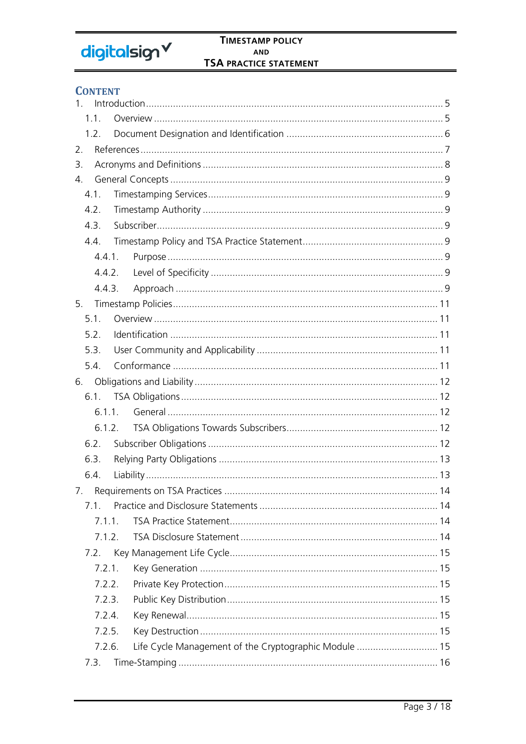# digitalsign V

## **CONTENT**

| 1 <sub>1</sub>   |                                                       |    |  |
|------------------|-------------------------------------------------------|----|--|
| 1.1.             |                                                       |    |  |
| 1.2.             |                                                       |    |  |
| 2.               |                                                       |    |  |
| 3.               |                                                       |    |  |
| $\overline{4}$ . |                                                       |    |  |
| 4.1.             |                                                       |    |  |
| 4.2.             |                                                       |    |  |
| 4.3.             |                                                       |    |  |
| 4.4.             |                                                       |    |  |
| 4.4.1.           |                                                       |    |  |
| 4.4.2.           |                                                       |    |  |
| 4.4.3.           |                                                       |    |  |
| 5.               |                                                       |    |  |
| 5.1              |                                                       |    |  |
| 5.2.             |                                                       |    |  |
| 5.3.             |                                                       |    |  |
| 5.4.             |                                                       |    |  |
| 6.               |                                                       |    |  |
| 6.1.             |                                                       |    |  |
| 6.1.1.           |                                                       |    |  |
| 6.1.2.           |                                                       |    |  |
| 6.2.             |                                                       |    |  |
| 6.3.             |                                                       |    |  |
| 6.4.             |                                                       |    |  |
|                  | 7. Requirements on TSA Practices                      | 14 |  |
| 71               |                                                       |    |  |
| 711              |                                                       |    |  |
| 7.1.2.           |                                                       |    |  |
| 7.2.             |                                                       |    |  |
| 7.2.1.           |                                                       |    |  |
| 7.2.2.           |                                                       |    |  |
| 7.2.3.           |                                                       |    |  |
| 7.2.4.           |                                                       |    |  |
| 7.2.5.           |                                                       |    |  |
| 7.2.6.           | Life Cycle Management of the Cryptographic Module  15 |    |  |
| 7.3.             |                                                       |    |  |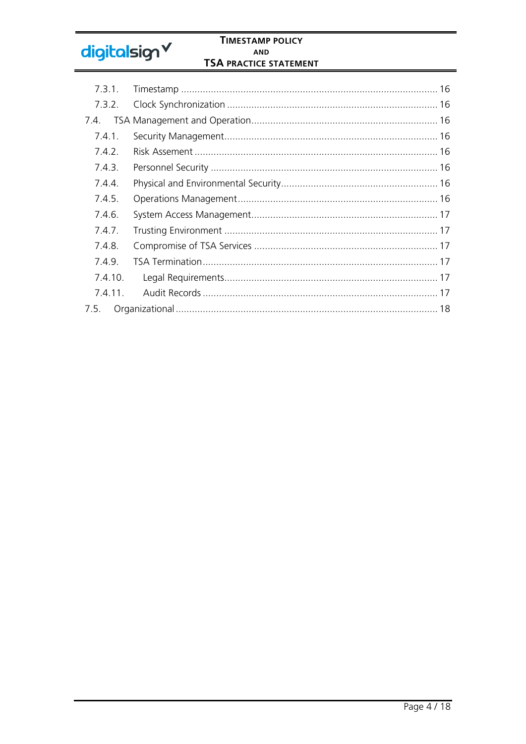# digitalsign V

## **TIMESTAMP POLICY** AND **TSA PRACTICE STATEMENT**

| 7.3.1.  |  |
|---------|--|
| 7.3.2.  |  |
| 7.4.    |  |
| 7.4.1.  |  |
| 7.4.2.  |  |
| 7.4.3.  |  |
| 7.4.4.  |  |
| 7.4.5.  |  |
| 7.4.6.  |  |
| 7.4.7.  |  |
| 7.4.8.  |  |
| 7.4.9.  |  |
| 7.4.10. |  |
| 7.4.11. |  |
| 7.5.    |  |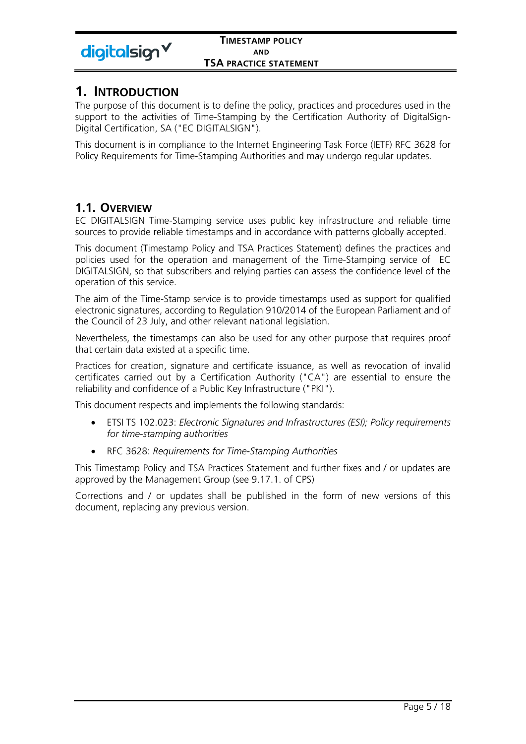

## **1. INTRODUCTION**

The purpose of this document is to define the policy, practices and procedures used in the support to the activities of Time-Stamping by the Certification Authority of DigitalSign-Digital Certification, SA ("EC DIGITALSIGN").

This document is in compliance to the Internet Engineering Task Force (IETF) RFC 3628 for Policy Requirements for Time-Stamping Authorities and may undergo regular updates.

## **1.1. OVERVIEW**

EC DIGITALSIGN Time-Stamping service uses public key infrastructure and reliable time sources to provide reliable timestamps and in accordance with patterns globally accepted.

This document (Timestamp Policy and TSA Practices Statement) defines the practices and policies used for the operation and management of the Time-Stamping service of EC DIGITALSIGN, so that subscribers and relying parties can assess the confidence level of the operation of this service.

The aim of the Time-Stamp service is to provide timestamps used as support for qualified electronic signatures, according to Regulation 910/2014 of the European Parliament and of the Council of 23 July, and other relevant national legislation.

Nevertheless, the timestamps can also be used for any other purpose that requires proof that certain data existed at a specific time.

Practices for creation, signature and certificate issuance, as well as revocation of invalid certificates carried out by a Certification Authority ("CA") are essential to ensure the reliability and confidence of a Public Key Infrastructure ("PKI").

This document respects and implements the following standards:

- ETSI TS 102.023: *Electronic Signatures and Infrastructures (ESI); Policy requirements for time-stamping authorities*
- RFC 3628: *Requirements for Time-Stamping Authorities*

This Timestamp Policy and TSA Practices Statement and further fixes and / or updates are approved by the Management Group (see 9.17.1. of CPS)

Corrections and / or updates shall be published in the form of new versions of this document, replacing any previous version.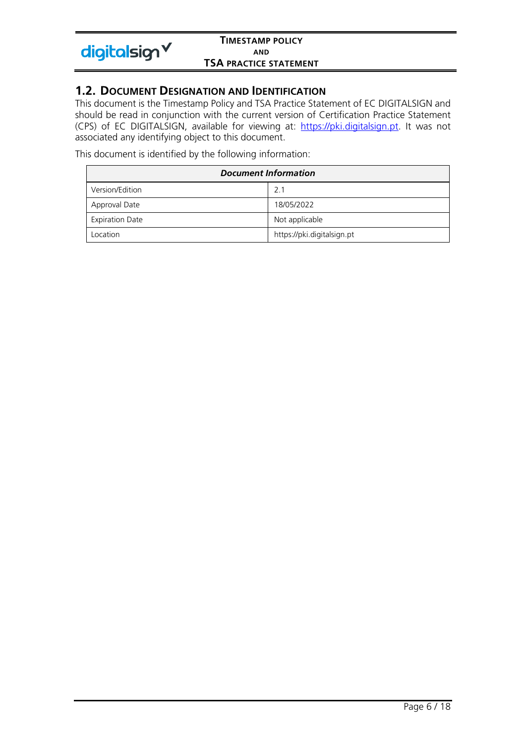

## **1.2. DOCUMENT DESIGNATION AND IDENTIFICATION**

This document is the Timestamp Policy and TSA Practice Statement of EC DIGITALSIGN and should be read in conjunction with the current version of Certification Practice Statement (CPS) of EC DIGITALSIGN, available for viewing at: https://pki.digitalsign.pt. It was not associated any identifying object to this document.

This document is identified by the following information:

| <b>Document Information</b> |                            |  |
|-----------------------------|----------------------------|--|
| Version/Edition             | 2.1                        |  |
| Approval Date               | 18/05/2022                 |  |
| <b>Expiration Date</b>      | Not applicable             |  |
| Location                    | https://pki.digitalsign.pt |  |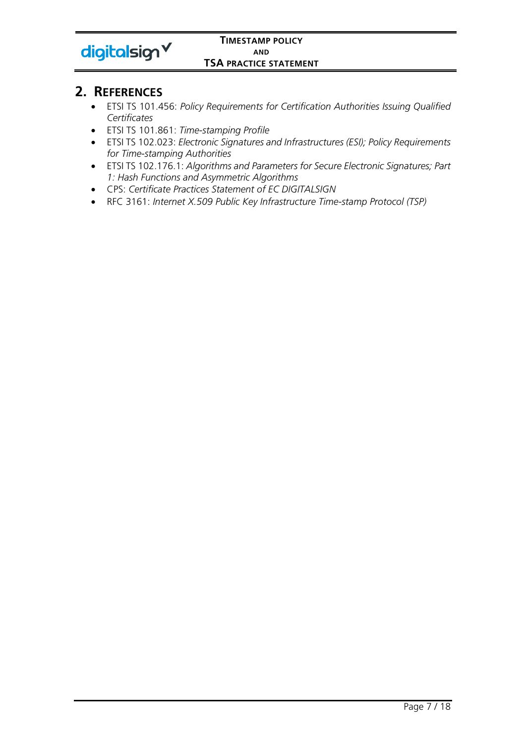

## **2. REFERENCES**

- ETSI TS 101.456: *Policy Requirements for Certification Authorities Issuing Qualified Certificates*
- ETSI TS 101.861: *Time-stamping Profile*
- ETSI TS 102.023: *Electronic Signatures and Infrastructures (ESI); Policy Requirements for Time-stamping Authorities*
- ETSI TS 102.176.1: *Algorithms and Parameters for Secure Electronic Signatures; Part 1: Hash Functions and Asymmetric Algorithms*
- CPS: *Certificate Practices Statement of EC DIGITALSIGN*
- RFC 3161: *Internet X.509 Public Key Infrastructure Time-stamp Protocol (TSP)*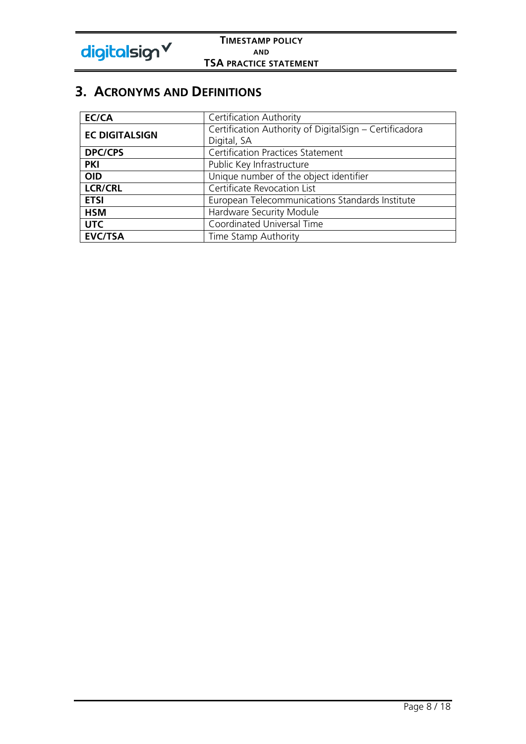

# **3. ACRONYMS AND DEFINITIONS**

| EC/CA                                               | <b>Certification Authority</b>                         |  |
|-----------------------------------------------------|--------------------------------------------------------|--|
| <b>EC DIGITALSIGN</b>                               | Certification Authority of DigitalSign - Certificadora |  |
|                                                     | Digital, SA                                            |  |
| Certification Practices Statement<br><b>DPC/CPS</b> |                                                        |  |
| <b>PKI</b>                                          | Public Key Infrastructure                              |  |
| <b>OID</b>                                          | Unique number of the object identifier                 |  |
| <b>LCR/CRL</b>                                      | Certificate Revocation List                            |  |
| <b>ETSI</b>                                         | European Telecommunications Standards Institute        |  |
| <b>HSM</b>                                          | Hardware Security Module                               |  |
| <b>UTC</b>                                          | Coordinated Universal Time                             |  |
| <b>EVC/TSA</b>                                      | Time Stamp Authority                                   |  |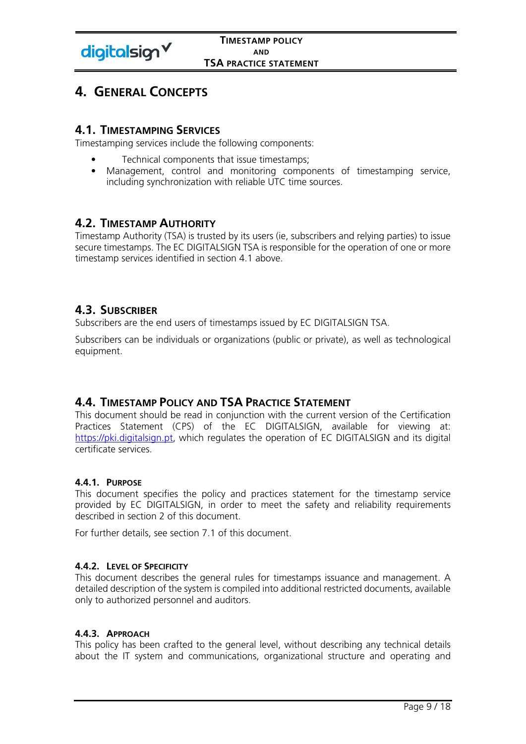

# **4. GENERAL CONCEPTS**

## **4.1. TIMESTAMPING SERVICES**

Timestamping services include the following components:

- Technical components that issue timestamps;
- Management, control and monitoring components of timestamping service, including synchronization with reliable UTC time sources.

## **4.2. TIMESTAMP AUTHORITY**

Timestamp Authority (TSA) is trusted by its users (ie, subscribers and relying parties) to issue secure timestamps. The EC DIGITALSIGN TSA is responsible for the operation of one or more timestamp services identified in section 4.1 above.

## **4.3. SUBSCRIBER**

Subscribers are the end users of timestamps issued by EC DIGITALSIGN TSA.

Subscribers can be individuals or organizations (public or private), as well as technological equipment.

## **4.4. TIMESTAMP POLICY AND TSA PRACTICE STATEMENT**

This document should be read in conjunction with the current version of the Certification Practices Statement (CPS) of the EC DIGITALSIGN, available for viewing at: https://pki.digitalsign.pt, which regulates the operation of EC DIGITALSIGN and its digital certificate services.

## **4.4.1. PURPOSE**

This document specifies the policy and practices statement for the timestamp service provided by EC DIGITALSIGN, in order to meet the safety and reliability requirements described in section 2 of this document.

For further details, see section 7.1 of this document.

#### **4.4.2. LEVEL OF SPECIFICITY**

This document describes the general rules for timestamps issuance and management. A detailed description of the system is compiled into additional restricted documents, available only to authorized personnel and auditors.

## **4.4.3. APPROACH**

This policy has been crafted to the general level, without describing any technical details about the IT system and communications, organizational structure and operating and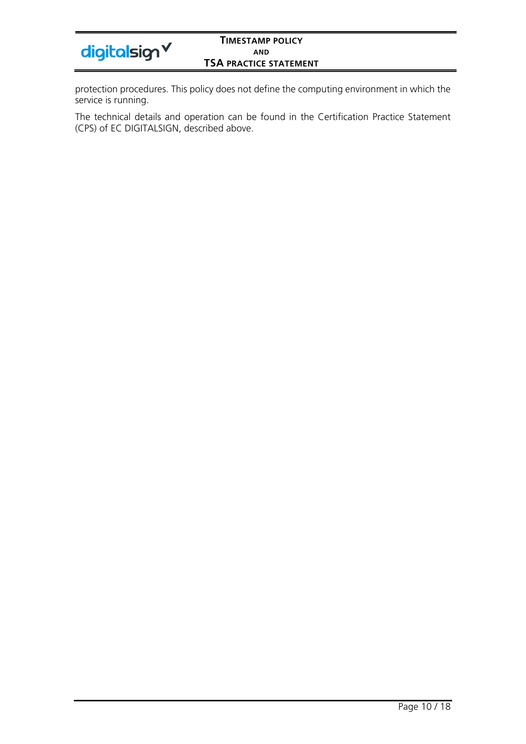| digitalsign V |  |
|---------------|--|
|---------------|--|

protection procedures. This policy does not define the computing environment in which the service is running.

The technical details and operation can be found in the Certification Practice Statement (CPS) of EC DIGITALSIGN, described above.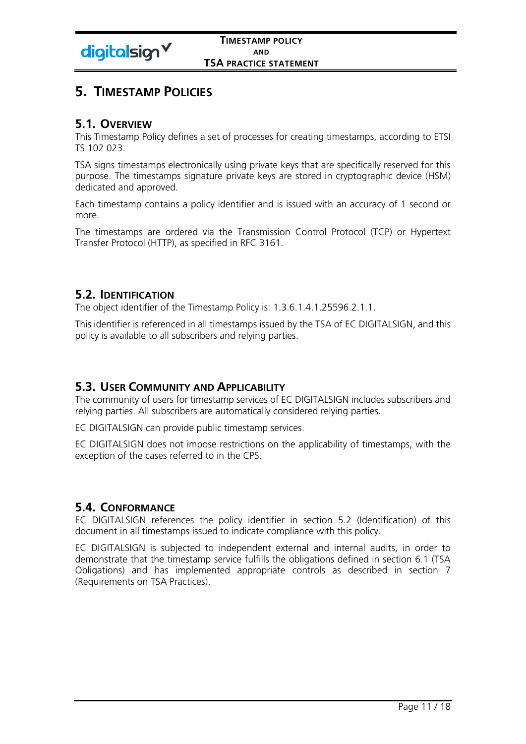

# **5. TIMESTAMP POLICIES**

## **5.1. OVERVIEW**

This Timestamp Policy defines a set of processes for creating timestamps, according to ETSI TS 102 023.

TSA signs timestamps electronically using private keys that are specifically reserved for this purpose. The timestamps signature private keys are stored in cryptographic device (HSM) dedicated and approved.

Each timestamp contains a policy identifier and is issued with an accuracy of 1 second or more.

The timestamps are ordered via the Transmission Control Protocol (TCP) or Hypertext Transfer Protocol (HTTP), as specified in RFC 3161.

## **5.2. IDENTIFICATION**

The object identifier of the Timestamp Policy is: 1.3.6.1.4.1.25596.2.1.1.

This identifier is referenced in all timestamps issued by the TSA of EC DIGITALSIGN, and this policy is available to all subscribers and relying parties.

## **5.3. USER COMMUNITY AND APPLICABILITY**

The community of users for timestamp services of EC DIGITALSIGN includes subscribers and relying parties. All subscribers are automatically considered relying parties.

EC DIGITALSIGN can provide public timestamp services.

EC DIGITALSIGN does not impose restrictions on the applicability of timestamps, with the exception of the cases referred to in the CPS.

## **5.4. CONFORMANCE**

EC DIGITALSIGN references the policy identifier in section 5.2 (Identification) of this document in all timestamps issued to indicate compliance with this policy.

EC DIGITALSIGN is subjected to independent external and internal audits, in order to demonstrate that the timestamp service fulfills the obligations defined in section 6.1 (TSA Obligations) and has implemented appropriate controls as described in section 7 (Requirements on TSA Practices).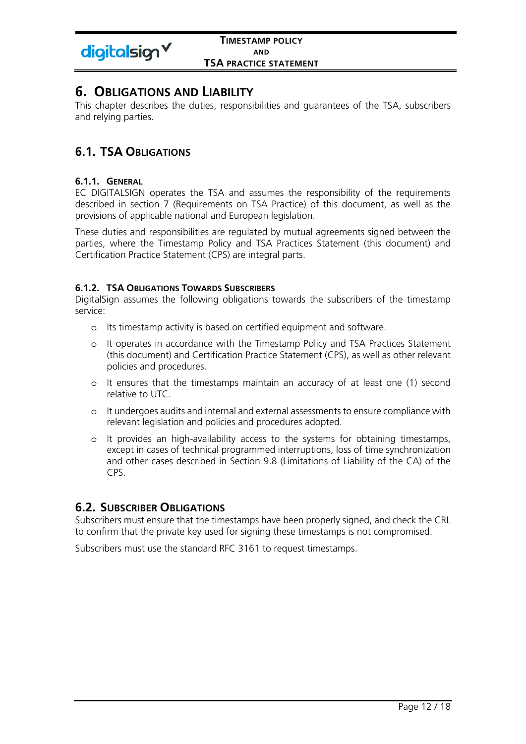

# **6. OBLIGATIONS AND LIABILITY**

This chapter describes the duties, responsibilities and guarantees of the TSA, subscribers and relying parties.

## **6.1. TSA OBLIGATIONS**

## **6.1.1. GENERAL**

EC DIGITALSIGN operates the TSA and assumes the responsibility of the requirements described in section 7 (Requirements on TSA Practice) of this document, as well as the provisions of applicable national and European legislation.

These duties and responsibilities are regulated by mutual agreements signed between the parties, where the Timestamp Policy and TSA Practices Statement (this document) and Certification Practice Statement (CPS) are integral parts.

## **6.1.2. TSA OBLIGATIONS TOWARDS SUBSCRIBERS**

DigitalSign assumes the following obligations towards the subscribers of the timestamp service:

- o Its timestamp activity is based on certified equipment and software.
- o It operates in accordance with the Timestamp Policy and TSA Practices Statement (this document) and Certification Practice Statement (CPS), as well as other relevant policies and procedures.
- o It ensures that the timestamps maintain an accuracy of at least one (1) second relative to UTC.
- o It undergoes audits and internal and external assessments to ensure compliance with relevant legislation and policies and procedures adopted.
- o It provides an high-availability access to the systems for obtaining timestamps, except in cases of technical programmed interruptions, loss of time synchronization and other cases described in Section 9.8 (Limitations of Liability of the CA) of the CPS.

## **6.2. SUBSCRIBER OBLIGATIONS**

Subscribers must ensure that the timestamps have been properly signed, and check the CRL to confirm that the private key used for signing these timestamps is not compromised.

Subscribers must use the standard RFC 3161 to request timestamps.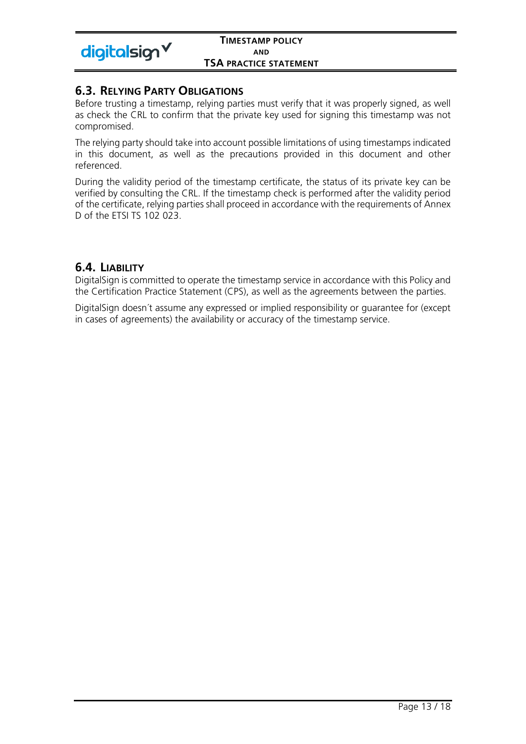

## **6.3. RELYING PARTY OBLIGATIONS**

Before trusting a timestamp, relying parties must verify that it was properly signed, as well as check the CRL to confirm that the private key used for signing this timestamp was not compromised.

The relying party should take into account possible limitations of using timestamps indicated in this document, as well as the precautions provided in this document and other referenced.

During the validity period of the timestamp certificate, the status of its private key can be verified by consulting the CRL. If the timestamp check is performed after the validity period of the certificate, relying parties shall proceed in accordance with the requirements of Annex D of the ETSI TS 102 023.

## **6.4. LIABILITY**

DigitalSign is committed to operate the timestamp service in accordance with this Policy and the Certification Practice Statement (CPS), as well as the agreements between the parties.

DigitalSign doesn´t assume any expressed or implied responsibility or guarantee for (except in cases of agreements) the availability or accuracy of the timestamp service.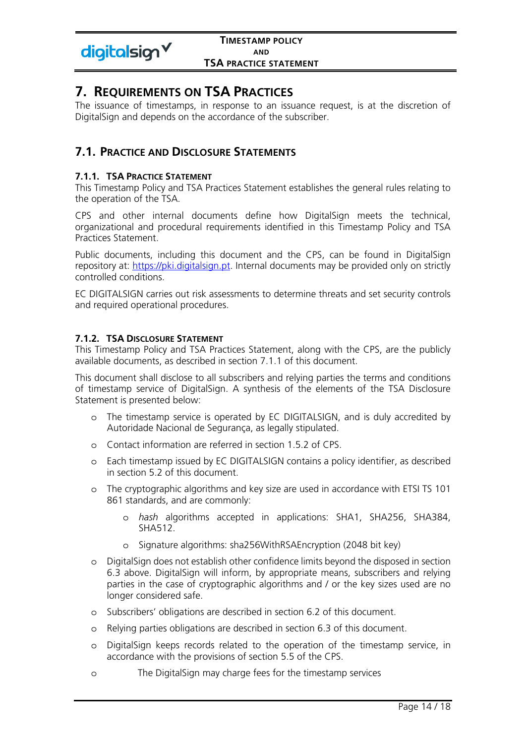

# **7. REQUIREMENTS ON TSA PRACTICES**

The issuance of timestamps, in response to an issuance request, is at the discretion of DigitalSign and depends on the accordance of the subscriber.

## **7.1. PRACTICE AND DISCLOSURE STATEMENTS**

## **7.1.1. TSA PRACTICE STATEMENT**

This Timestamp Policy and TSA Practices Statement establishes the general rules relating to the operation of the TSA.

CPS and other internal documents define how DigitalSign meets the technical, organizational and procedural requirements identified in this Timestamp Policy and TSA Practices Statement.

Public documents, including this document and the CPS, can be found in DigitalSign repository at: https://pki.digitalsign.pt. Internal documents may be provided only on strictly controlled conditions.

EC DIGITALSIGN carries out risk assessments to determine threats and set security controls and required operational procedures.

## **7.1.2. TSA DISCLOSURE STATEMENT**

This Timestamp Policy and TSA Practices Statement, along with the CPS, are the publicly available documents, as described in section 7.1.1 of this document.

This document shall disclose to all subscribers and relying parties the terms and conditions of timestamp service of DigitalSign. A synthesis of the elements of the TSA Disclosure Statement is presented below:

- o The timestamp service is operated by EC DIGITALSIGN, and is duly accredited by Autoridade Nacional de Segurança, as legally stipulated.
- o Contact information are referred in section 1.5.2 of CPS.
- o Each timestamp issued by EC DIGITALSIGN contains a policy identifier, as described in section 5.2 of this document.
- o The cryptographic algorithms and key size are used in accordance with ETSI TS 101 861 standards, and are commonly:
	- o *hash* algorithms accepted in applications: SHA1, SHA256, SHA384, SHA512.
	- o Signature algorithms: sha256WithRSAEncryption (2048 bit key)
- o DigitalSign does not establish other confidence limits beyond the disposed in section 6.3 above. DigitalSign will inform, by appropriate means, subscribers and relying parties in the case of cryptographic algorithms and / or the key sizes used are no longer considered safe.
- o Subscribers' obligations are described in section 6.2 of this document.
- o Relying parties obligations are described in section 6.3 of this document.
- o DigitalSign keeps records related to the operation of the timestamp service, in accordance with the provisions of section 5.5 of the CPS.
- o The DigitalSign may charge fees for the timestamp services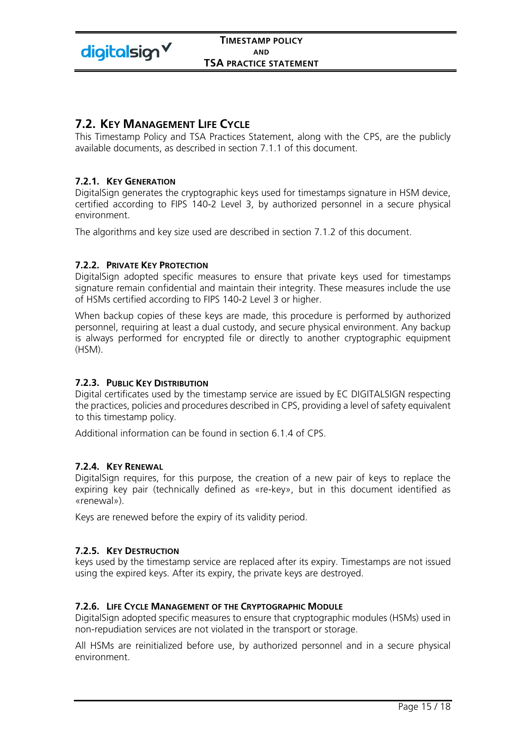

## **7.2. KEY MANAGEMENT LIFE CYCLE**

This Timestamp Policy and TSA Practices Statement, along with the CPS, are the publicly available documents, as described in section 7.1.1 of this document.

## **7.2.1. KEY GENERATION**

DigitalSign generates the cryptographic keys used for timestamps signature in HSM device, certified according to FIPS 140-2 Level 3, by authorized personnel in a secure physical environment.

The algorithms and key size used are described in section 7.1.2 of this document.

#### **7.2.2. PRIVATE KEY PROTECTION**

DigitalSign adopted specific measures to ensure that private keys used for timestamps signature remain confidential and maintain their integrity. These measures include the use of HSMs certified according to FIPS 140-2 Level 3 or higher.

When backup copies of these keys are made, this procedure is performed by authorized personnel, requiring at least a dual custody, and secure physical environment. Any backup is always performed for encrypted file or directly to another cryptographic equipment (HSM).

## **7.2.3. PUBLIC KEY DISTRIBUTION**

Digital certificates used by the timestamp service are issued by EC DIGITALSIGN respecting the practices, policies and procedures described in CPS, providing a level of safety equivalent to this timestamp policy.

Additional information can be found in section 6.1.4 of CPS.

#### **7.2.4. KEY RENEWAL**

DigitalSign requires, for this purpose, the creation of a new pair of keys to replace the expiring key pair (technically defined as «re-key», but in this document identified as «renewal»).

Keys are renewed before the expiry of its validity period.

#### **7.2.5. KEY DESTRUCTION**

keys used by the timestamp service are replaced after its expiry. Timestamps are not issued using the expired keys. After its expiry, the private keys are destroyed.

#### **7.2.6. LIFE CYCLE MANAGEMENT OF THE CRYPTOGRAPHIC MODULE**

DigitalSign adopted specific measures to ensure that cryptographic modules (HSMs) used in non-repudiation services are not violated in the transport or storage.

All HSMs are reinitialized before use, by authorized personnel and in a secure physical environment.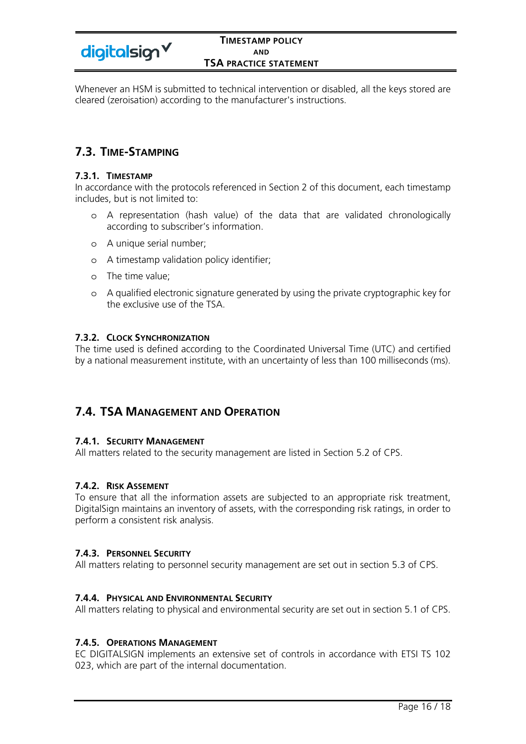digitalsign V

### **TIMESTAMP POLICY AND TSA PRACTICE STATEMENT**

Whenever an HSM is submitted to technical intervention or disabled, all the keys stored are cleared (zeroisation) according to the manufacturer's instructions.

## **7.3. TIME-STAMPING**

#### **7.3.1. TIMESTAMP**

In accordance with the protocols referenced in Section 2 of this document, each timestamp includes, but is not limited to:

- o A representation (hash value) of the data that are validated chronologically according to subscriber's information.
- o A unique serial number;
- o A timestamp validation policy identifier;
- o The time value;
- o A qualified electronic signature generated by using the private cryptographic key for the exclusive use of the TSA.

## **7.3.2. CLOCK SYNCHRONIZATION**

The time used is defined according to the Coordinated Universal Time (UTC) and certified by a national measurement institute, with an uncertainty of less than 100 milliseconds (ms).

## **7.4. TSA MANAGEMENT AND OPERATION**

## **7.4.1. SECURITY MANAGEMENT**

All matters related to the security management are listed in Section 5.2 of CPS.

## **7.4.2. RISK ASSEMENT**

To ensure that all the information assets are subjected to an appropriate risk treatment, DigitalSign maintains an inventory of assets, with the corresponding risk ratings, in order to perform a consistent risk analysis.

## **7.4.3. PERSONNEL SECURITY**

All matters relating to personnel security management are set out in section 5.3 of CPS.

#### **7.4.4. PHYSICAL AND ENVIRONMENTAL SECURITY**

All matters relating to physical and environmental security are set out in section 5.1 of CPS.

#### **7.4.5. OPERATIONS MANAGEMENT**

EC DIGITALSIGN implements an extensive set of controls in accordance with ETSI TS 102 023, which are part of the internal documentation.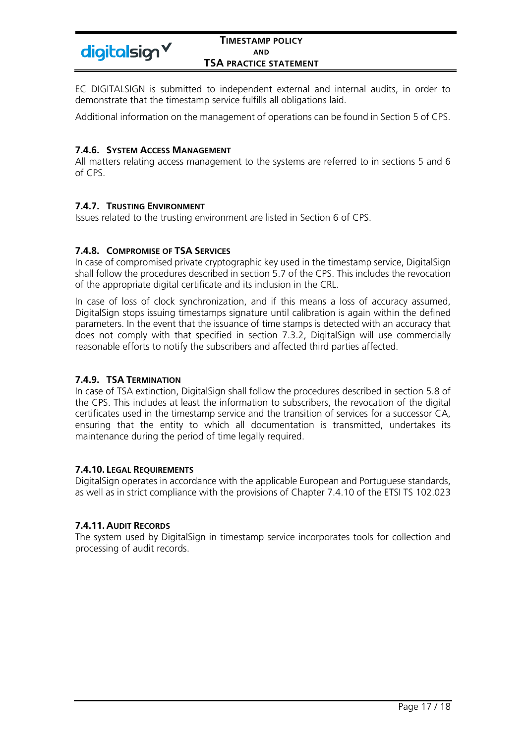

EC DIGITALSIGN is submitted to independent external and internal audits, in order to demonstrate that the timestamp service fulfills all obligations laid.

Additional information on the management of operations can be found in Section 5 of CPS.

## **7.4.6. SYSTEM ACCESS MANAGEMENT**

All matters relating access management to the systems are referred to in sections 5 and 6 of CPS.

## **7.4.7. TRUSTING ENVIRONMENT**

Issues related to the trusting environment are listed in Section 6 of CPS.

## **7.4.8. COMPROMISE OF TSA SERVICES**

In case of compromised private cryptographic key used in the timestamp service, DigitalSign shall follow the procedures described in section 5.7 of the CPS. This includes the revocation of the appropriate digital certificate and its inclusion in the CRL.

In case of loss of clock synchronization, and if this means a loss of accuracy assumed, DigitalSign stops issuing timestamps signature until calibration is again within the defined parameters. In the event that the issuance of time stamps is detected with an accuracy that does not comply with that specified in section 7.3.2, DigitalSign will use commercially reasonable efforts to notify the subscribers and affected third parties affected.

## **7.4.9. TSA TERMINATION**

In case of TSA extinction, DigitalSign shall follow the procedures described in section 5.8 of the CPS. This includes at least the information to subscribers, the revocation of the digital certificates used in the timestamp service and the transition of services for a successor CA, ensuring that the entity to which all documentation is transmitted, undertakes its maintenance during the period of time legally required.

## **7.4.10. LEGAL REQUIREMENTS**

DigitalSign operates in accordance with the applicable European and Portuguese standards, as well as in strict compliance with the provisions of Chapter 7.4.10 of the ETSI TS 102.023

## **7.4.11. AUDIT RECORDS**

The system used by DigitalSign in timestamp service incorporates tools for collection and processing of audit records.